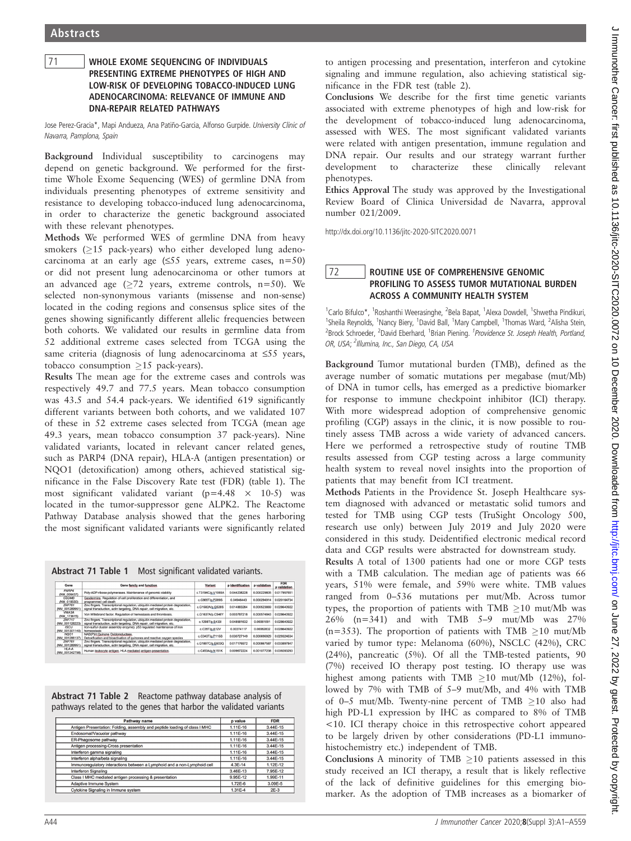### <sup>71</sup> WHOLE EXOME SEQUENCING OF INDIVIDUALS LOW-RISK OF DEVELOPING TOBACCO-INDUCED LUNG ADENOCARCINOMA: RELEVANCE OF IMMUNE AND DNA-REPAIR RELATED PATHWAYS

Jose Perez-Gracia\*, Mapi Andueza, Ana Patiño-Garcia, Alfonso Gurpide. University Clinic of Navarra, Pamplona, Spain

Background Individual susceptibility to carcinogens may depend on genetic background. We performed for the firsttime Whole Exome Sequencing (WES) of germline DNA from individuals presenting phenotypes of extreme sensitivity and resistance to developing tobacco-induced lung adenocarcinoma, in order to characterize the genetic background associated with these relevant phenotypes.

Methods We performed WES of germline DNA from heavy smokers  $(>15$  pack-years) who either developed lung adenocarcinoma at an early age  $(555 \text{ years}, \text{ extreme cases}, \text{ n}=50)$ or did not present lung adenocarcinoma or other tumors at an advanced age  $(\geq 72$  years, extreme controls, n=50). We selected non-synonymous variants (missense and non-sense) located in the coding regions and consensus splice sites of the genes showing significantly different allelic frequencies between both cohorts. We validated our results in germline data from 52 additional extreme cases selected from TCGA using the same criteria (diagnosis of lung adenocarcinoma at  $\leq$ 55 years, tobacco consumption  $\geq 15$  pack-years).

Results The mean age for the extreme cases and controls was respectively 49.7 and 77.5 years. Mean tobacco consumption was 43.5 and 54.4 pack-years. We identified 619 significantly different variants between both cohorts, and we validated 107 of these in 52 extreme cases selected from TCGA (mean age 49.3 years, mean tobacco consumption 37 pack-years). Nine validated variants, located in relevant cancer related genes, such as PARP4 (DNA repair), HLA-A (antigen presentation) or NQO1 (detoxification) among others, achieved statistical significance in the False Discovery Rate test (FDR) (table 1). The most significant validated variant  $(p=4.48 \times 10^{-5})$  was located in the tumor-suppressor gene ALPK2. The Reactome Pathway Database analysis showed that the genes harboring the most significant validated variants were significantly related

Abstract 71 Table 1 Most significant validated variants.

| Gene                            | Gene family and function                                                                                                                                    | Variant           | p identification | p validation | <b>FDR</b><br>p validation |
|---------------------------------|-------------------------------------------------------------------------------------------------------------------------------------------------------------|-------------------|------------------|--------------|----------------------------|
| PARP4<br>(NM 006437)            | Poly-ADP-ribose polymerases. Maintenance of genomic stability                                                                                               | c.T3194C/p.V1065A | 0.044238228      | 0.000229805  | 0.017957651                |
| <b>GSDMB</b><br>(NM 018530)     | Gasdermins, Regulation of cell proliferation and differentiation, and<br>programmed cell death                                                              | c.C865T/p.P289S   | 0.04946443       | 0.000294914  | 0.020164734                |
| <b>ZNF761</b><br>(NM 001289951) | Zinc fingers, Transcriptional regulation, ubiquitin mediated protein degradation,<br>signal transduction, actin targeting, DNA repair, cell migration, etc. | c.G1582A/p.G528S  | 0.014883284      | 0.000523869  | 0.028640922                |
| WA3A<br>(NM 173615)             | Von Willebrand factor, Regulation of hemostasis and thrombosis.                                                                                             | c.G1637A/p.C546Y  | 0.003787218      | 0.000574843  | 0.028640922                |
| <b>ZNF717</b><br>(NM 001128223) | Zinc fingers. Transcriptional regulation, ubiquitin mediated protein degradation,<br>signal transduction, actin targeting, DNA repair, cell migration, etc. | c.1298T/p.S433I   | 0.048581632      | 0.00061091   | 0.028640922                |
| <b>ISCU</b><br>(NM 001301140)   | Iron-sulfur cluster assembly enzyme), p53 requiated maintenance of iron<br>homeostasis                                                                      | c.C35T/p.A12V     | 0.00374117       | 0.00062832   | 0.028640922                |
| NOO1<br>(NM 001286137)          | NAD(P)H:Quinone Oxidoreductase.<br>Detoxification and bioactivation of guinones and reactive oxygen species                                                 | c.C343T/p.P115S   | 0.030727149      | 0.000696929  | 0.029324634                |
| <b>ZNF761</b><br>(NM 001289951) | Zinc fingers. Transcriptional regulation, ubiquitin mediated protein degradation.<br>signal transduction, actin targeting, DNA repair, cell migration, etc. | c.G1807C/p.E603Q  | 0.017176972      | 0.000867587  | 0.033897847                |
| HLA-A<br>(NM 001242758)         | Human leukocyte antigen. HLA mediated antigen presentation.                                                                                                 | c.C453A/p.N151K   | 0.009672224      | 0.001077238  | 0.039283293                |

| Abstract 71 Table 2 Reactome pathway database analysis of        |
|------------------------------------------------------------------|
| pathways related to the genes that harbor the validated variants |

| Pathway name                                                               | p value  | <b>FDR</b> |  |
|----------------------------------------------------------------------------|----------|------------|--|
| Antigen Presentation: Folding, assembly and peptide loading of class I MHC | 1.11E-16 | 3.44E-15   |  |
| Endosomal/Vacuolar pathway                                                 | 1.11E-16 | 3.44E-15   |  |
| ER-Phagosome pathway                                                       | 1.11E-16 | 3.44E-15   |  |
| Antigen processing-Cross presentation                                      | 1.11E-16 | 3.44E-15   |  |
| Interferon gamma signaling                                                 | 1.11E-16 | 3.44E-15   |  |
| Interferon alpha/beta signaling                                            | 1.11E-16 | 3.44E-15   |  |
| Immunoregulatory interactions between a Lymphoid and a non-Lymphoid cell   | 4.3E-14  | 1.12E-12   |  |
| <b>Interferon Signaling</b>                                                | 3.46E-13 | 7.95E-12   |  |
| Class I MHC mediated antigen processing & presentation                     | 9.95E-12 | 1.99E-11   |  |
| Adaptive Immune System                                                     | 1.72E-6  | 3.09E-5    |  |
| Cytokine Signaling in Immune system                                        | 1.31E-4  | $2E-3$     |  |

to antigen processing and presentation, interferon and cytokine signaling and immune regulation, also achieving statistical significance in the FDR test (table 2).

Conclusions We describe for the first time genetic variants associated with extreme phenotypes of high and low-risk for the development of tobacco-induced lung adenocarcinoma, assessed with WES. The most significant validated variants were related with antigen presentation, immune regulation and DNA repair. Our results and our strategy warrant further development to characterize these clinically relevant phenotypes.

Ethics Approval The study was approved by the Investigational Review Board of Clinica Universidad de Navarra, approval number 021/2009.

http://dx.doi.org/10.1136/jitc-2020-SITC2020.0071

# $\frac{72}{72}$  ROUTINE USE OF COMPREHENSIVE GENOMIC<br>PROFILING TO ASSESS TUMOR MUTATIONAL BURDEN ACROSS A COMMUNITY HEALTH SYSTEM

<sup>1</sup>Carlo Bifulco\*, <sup>1</sup>Roshanthi Weerasinghe, <sup>2</sup>Bela Bapat, <sup>1</sup>Alexa Dowdell, <sup>1</sup>Shwetha Pindikuri, <sup>1</sup>Sheila Reynolds, <sup>1</sup>Nancy Biery, <sup>1</sup>David Ball, <sup>1</sup>Mary Campbell, <sup>1</sup>Thomas Ward, <sup>2</sup>Alisha Stein, <sup>2</sup>Brock Schroeder, <sup>2</sup>David Eberhard, <sup>1</sup>Brian Piening. <sup>1</sup>Providence St. Joseph Health, Portland, OR, USA; <sup>2</sup>Illumina, Inc., San Diego, CA, USA

Background Tumor mutational burden (TMB), defined as the average number of somatic mutations per megabase (mut/Mb) of DNA in tumor cells, has emerged as a predictive biomarker for response to immune checkpoint inhibitor (ICI) therapy. With more widespread adoption of comprehensive genomic profiling (CGP) assays in the clinic, it is now possible to routinely assess TMB across a wide variety of advanced cancers. Here we performed a retrospective study of routine TMB results assessed from CGP testing across a large community health system to reveal novel insights into the proportion of patients that may benefit from ICI treatment.

Methods Patients in the Providence St. Joseph Healthcare system diagnosed with advanced or metastatic solid tumors and tested for TMB using CGP tests (TruSight Oncology 500, research use only) between July 2019 and July 2020 were considered in this study. Deidentified electronic medical record data and CGP results were abstracted for downstream study.

Results A total of 1300 patients had one or more CGP tests with a TMB calculation. The median age of patients was 66 years, 51% were female, and 59% were white. TMB values ranged from 0–536 mutations per mut/Mb. Across tumor types, the proportion of patients with  $TMB > 10$  mut/Mb was 26% (n=341) and with TMB 5–9 mut/Mb was 27% (n=353). The proportion of patients with TMB  $\geq$ 10 mut/Mb varied by tumor type: Melanoma (60%), NSCLC (42%), CRC (24%), pancreatic (5%). Of all the TMB-tested patients, 90 (7%) received IO therapy post testing. IO therapy use was highest among patients with TMB  $\geq$ 10 mut/Mb (12%), followed by 7% with TMB of 5–9 mut/Mb, and 4% with TMB of 0–5 mut/Mb. Twenty-nine percent of TMB  $\geq$ 10 also had high PD-L1 expression by IHC as compared to 8% of TMB <10. ICI therapy choice in this retrospective cohort appeared to be largely driven by other considerations (PD-L1 immunohistochemistry etc.) independent of TMB.

Conclusions A minority of  $TMB > 10$  patients assessed in this study received an ICI therapy, a result that is likely reflective of the lack of definitive guidelines for this emerging biomarker. As the adoption of TMB increases as a biomarker of